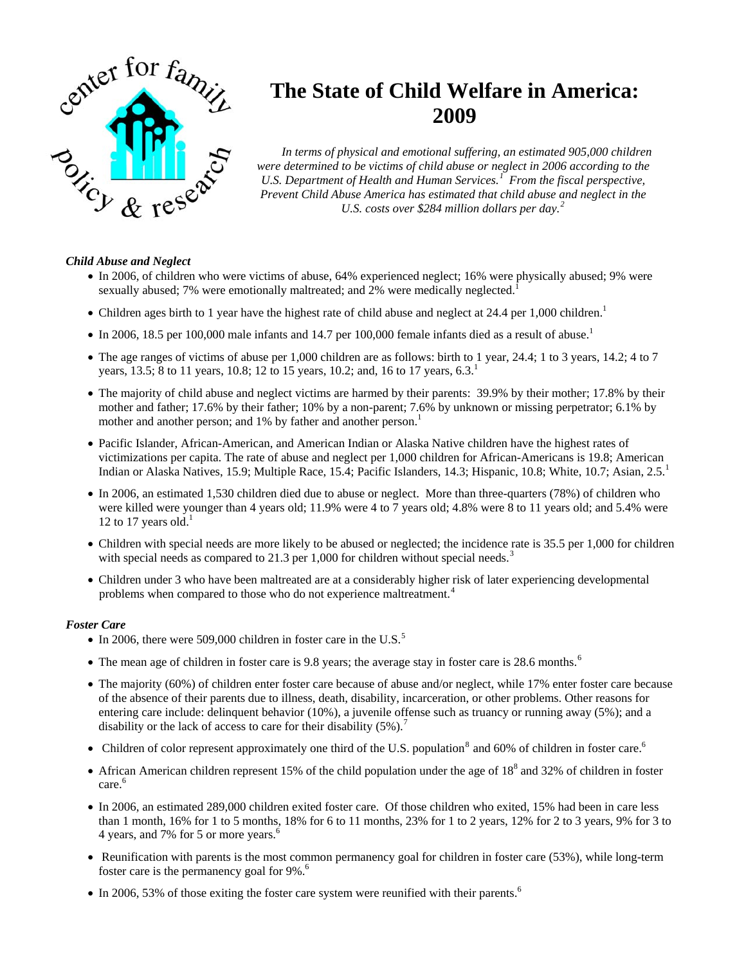

## **The State of Child Welfare in America: 2009**

*In terms of physical and emotional suffering, an estimated 905,000 children were determined to be victims of child abuse or neglect in 2006 according to the U.S. Department of Health and Human Services.[1](#page-1-0) From the fiscal perspective, Prevent Child Abuse America has estimated that child abuse and neglect in the U.S. costs over \$284 million dollars per day.[2](#page-1-0)*

## *Child Abuse and Neglect*

- In 2006, of children who were victims of abuse, 64% experienced neglect; 16% were physically abused; 9% were sexually abused; 7% were emotionally maltreated; and 2% were medically neglected.
- Children ages birth to 1 year have the highest rate of child abuse and neglect at 24.4 per 1,000 children.<sup>1</sup>
- In 2006, 18.5 per 100,000 male infants and 14.7 per 100,000 female infants died as a result of abuse.<sup>1</sup>
- The age ranges of victims of abuse per 1,000 children are as follows: birth to 1 year, 24.4; 1 to 3 years, 14.2; 4 to 7 years, 13.5; 8 to 11 years, 10.8; 12 to 15 years, 10.2; and, 16 to 17 years,  $6.3<sup>1</sup>$
- The majority of child abuse and neglect victims are harmed by their parents: 39.9% by their mother; 17.8% by their mother and father; 17.6% by their father; 10% by a non-parent; 7.6% by unknown or missing perpetrator; 6.1% by mother and another person; and 1% by father and another person.<sup>1</sup>
- Pacific Islander, African-American, and American Indian or Alaska Native children have the highest rates of victimizations per capita. The rate of abuse and neglect per 1,000 children for African-Americans is 19.8; American Indian or Alaska Natives, 15.9; Multiple Race, 15.4; Pacific Islanders, 14.3; Hispanic, 10.8; White, 10.7; Asian, 2.5.<sup>1</sup>
- In 2006, an estimated 1,530 children died due to abuse or neglect. More than three-quarters (78%) of children who were killed were younger than 4 years old; 11.9% were 4 to 7 years old; 4.8% were 8 to 11 years old; and 5.4% were 12 to 17 years old.<sup>1</sup>
- Children with special needs are more likely to be abused or neglected; the incidence rate is 35.5 per 1,000 for children with special needs as compared to 21.[3](#page-1-0) per 1,000 for children without special needs.<sup>3</sup>
- Children under 3 who have been maltreated are at a considerably higher risk of later experiencing developmental problems when compared to those who do not experience maltreatment.<sup>[4](#page-1-0)</sup>

## *Foster Care*

- In 2006, there were [5](#page-1-0)09,000 children in foster care in the U.S.<sup>5</sup>
- The mean age of children in foster care is 9.8 years; the average stay in foster care is 28.[6](#page-1-0) months.<sup>6</sup>
- The majority (60%) of children enter foster care because of abuse and/or neglect, while 17% enter foster care because of the absence of their parents due to illness, death, disability, incarceration, or other problems. Other reasons for entering care include: delinquent behavior (10%), a juvenile offense such as truancy or running away (5%); and a disability or the lack of access to care for their disability  $(5\%)$ .
- Children of color represent approximately one third of the U.S. population<sup>[8](#page-1-0)</sup> and 60% of children in foster care.<sup>6</sup>
- African American children represent 15% of the child population under the age of  $18<sup>8</sup>$  and 32% of children in foster care.<sup>6</sup>
- In 2006, an estimated 289,000 children exited foster care. Of those children who exited, 15% had been in care less than 1 month, 16% for 1 to 5 months, 18% for 6 to 11 months, 23% for 1 to 2 years, 12% for 2 to 3 years, 9% for 3 to 4 years, and 7% for 5 or more years.<sup>6</sup>
- Reunification with parents is the most common permanency goal for children in foster care (53%), while long-term foster care is the permanency goal for 9%.<sup>6</sup>
- In 2006, 53% of those exiting the foster care system were reunified with their parents.<sup>6</sup>